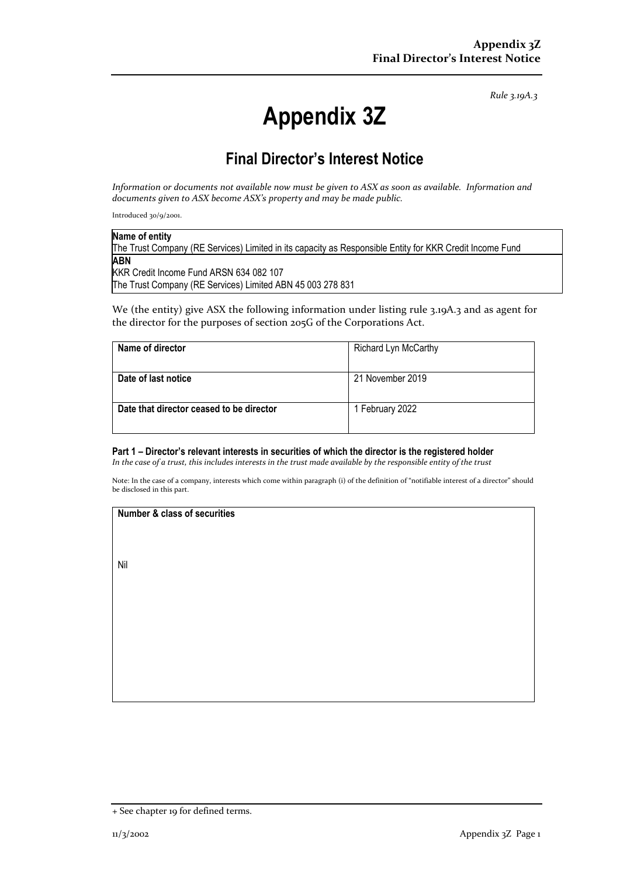*Rule 3.19A.3*

# **Appendix 3Z**

# **Final Director's Interest Notice**

*Information or documents not available now must be given to ASX as soon as available. Information and documents given to ASX become ASX's property and may be made public.*

Introduced 30/9/2001.

| Name of entity                                                                                           |  |
|----------------------------------------------------------------------------------------------------------|--|
| The Trust Company (RE Services) Limited in its capacity as Responsible Entity for KKR Credit Income Fund |  |
| <b>ABN</b>                                                                                               |  |
| KKR Credit Income Fund ARSN 634 082 107                                                                  |  |
| The Trust Company (RE Services) Limited ABN 45 003 278 831                                               |  |

We (the entity) give ASX the following information under listing rule 3.19A.3 and as agent for the director for the purposes of section 205G of the Corporations Act.

| Richard Lyn McCarthy |
|----------------------|
| 21 November 2019     |
| 1 February 2022      |
|                      |

### **Part 1 – Director's relevant interests in securities of which the director is the registered holder**

*In the case of a trust, this includes interests in the trust made available by the responsible entity of the trust*

Note: In the case of a company, interests which come within paragraph (i) of the definition of "notifiable interest of a director" should be disclosed in this part.

#### **Number & class of securities**

Nil

<sup>+</sup> See chapter 19 for defined terms.